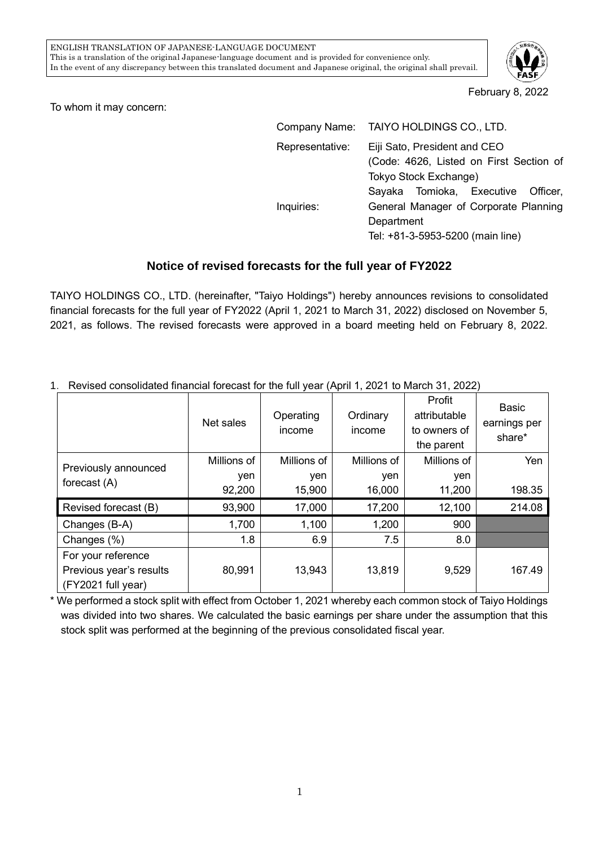

## February 8, 2022

To whom it may concern:

|                 | Company Name: TAIYO HOLDINGS CO., LTD.                                                           |  |  |  |  |
|-----------------|--------------------------------------------------------------------------------------------------|--|--|--|--|
| Representative: | Eiji Sato, President and CEO<br>(Code: 4626, Listed on First Section of<br>Tokyo Stock Exchange) |  |  |  |  |
|                 | Sayaka Tomioka, Executive Officer,                                                               |  |  |  |  |
| Inquiries:      | General Manager of Corporate Planning<br>Department<br>Tel: +81-3-5953-5200 (main line)          |  |  |  |  |

## **Notice of revised forecasts for the full year of FY2022**

TAIYO HOLDINGS CO., LTD. (hereinafter, "Taiyo Holdings") hereby announces revisions to consolidated financial forecasts for the full year of FY2022 (April 1, 2021 to March 31, 2022) disclosed on November 5, 2021, as follows. The revised forecasts were approved in a board meeting held on February 8, 2022.

|                                               | Net sales   | Operating<br>income | Ordinary<br>income | Profit<br>attributable<br>to owners of<br>the parent | Basic<br>earnings per<br>share* |
|-----------------------------------------------|-------------|---------------------|--------------------|------------------------------------------------------|---------------------------------|
| Previously announced<br>forecast (A)          | Millions of | Millions of         | Millions of        | Millions of                                          | Yen                             |
|                                               | yen         | yen                 | yen                | yen                                                  |                                 |
|                                               | 92,200      | 15,900              | 16,000             | 11,200                                               | 198.35                          |
| Revised forecast (B)                          | 93,900      | 17,000              | 17,200             | 12,100                                               | 214.08                          |
| Changes (B-A)                                 | 1,700       | 1,100               | 1,200              | 900                                                  |                                 |
| Changes (%)                                   | 1.8         | 6.9                 | 7.5                | 8.0                                                  |                                 |
| For your reference<br>Previous year's results | 80,991      | 13,943              | 13,819             | 9,529                                                | 167.49                          |
| (FY2021 full year)                            |             |                     |                    |                                                      |                                 |

1.Revised consolidated financial forecast for the full year (April 1, 2021 to March 31, 2022)

\* We performed a stock split with effect from October 1, 2021 whereby each common stock of Taiyo Holdings was divided into two shares. We calculated the basic earnings per share under the assumption that this stock split was performed at the beginning of the previous consolidated fiscal year.